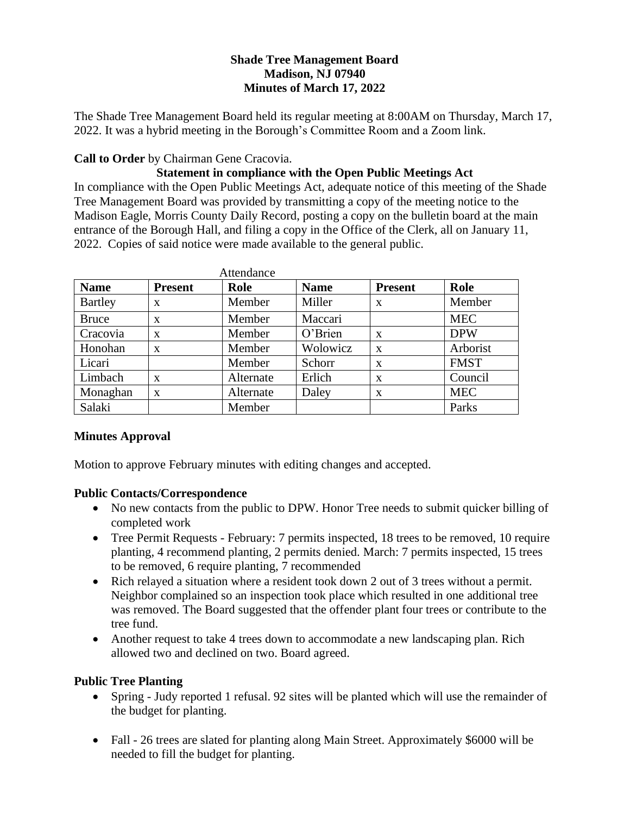# **Shade Tree Management Board Madison, NJ 07940 Minutes of March 17, 2022**

The Shade Tree Management Board held its regular meeting at 8:00AM on Thursday, March 17, 2022. It was a hybrid meeting in the Borough's Committee Room and a Zoom link.

## **Call to Order** by Chairman Gene Cracovia.

# **Statement in compliance with the Open Public Meetings Act**

In compliance with the Open Public Meetings Act, adequate notice of this meeting of the Shade Tree Management Board was provided by transmitting a copy of the meeting notice to the Madison Eagle, Morris County Daily Record, posting a copy on the bulletin board at the main entrance of the Borough Hall, and filing a copy in the Office of the Clerk, all on January 11, 2022. Copies of said notice were made available to the general public.

| Attendance     |                |           |             |                |             |
|----------------|----------------|-----------|-------------|----------------|-------------|
| <b>Name</b>    | <b>Present</b> | Role      | <b>Name</b> | <b>Present</b> | Role        |
| <b>Bartley</b> | X              | Member    | Miller      | X              | Member      |
| <b>Bruce</b>   | X              | Member    | Maccari     |                | <b>MEC</b>  |
| Cracovia       | X              | Member    | O'Brien     | X              | <b>DPW</b>  |
| Honohan        | X              | Member    | Wolowicz    | X              | Arborist    |
| Licari         |                | Member    | Schorr      | X              | <b>FMST</b> |
| Limbach        | X              | Alternate | Erlich      | X              | Council     |
| Monaghan       | $\mathbf x$    | Alternate | Daley       | X              | <b>MEC</b>  |
| Salaki         |                | Member    |             |                | Parks       |

#### **Minutes Approval**

Motion to approve February minutes with editing changes and accepted.

#### **Public Contacts/Correspondence**

- No new contacts from the public to DPW. Honor Tree needs to submit quicker billing of completed work
- Tree Permit Requests February: 7 permits inspected, 18 trees to be removed, 10 require planting, 4 recommend planting, 2 permits denied. March: 7 permits inspected, 15 trees to be removed, 6 require planting, 7 recommended
- Rich relayed a situation where a resident took down 2 out of 3 trees without a permit. Neighbor complained so an inspection took place which resulted in one additional tree was removed. The Board suggested that the offender plant four trees or contribute to the tree fund.
- Another request to take 4 trees down to accommodate a new landscaping plan. Rich allowed two and declined on two. Board agreed.

#### **Public Tree Planting**

- Spring Judy reported 1 refusal. 92 sites will be planted which will use the remainder of the budget for planting.
- Fall 26 trees are slated for planting along Main Street. Approximately \$6000 will be needed to fill the budget for planting.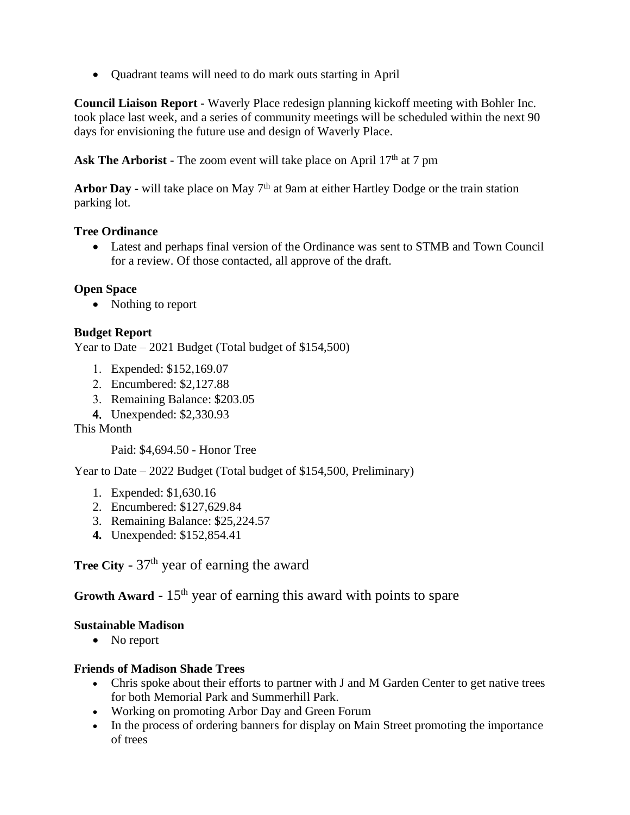• Quadrant teams will need to do mark outs starting in April

**Council Liaison Report -** Waverly Place redesign planning kickoff meeting with Bohler Inc. took place last week, and a series of community meetings will be scheduled within the next 90 days for envisioning the future use and design of Waverly Place.

**Ask The Arborist -** The zoom event will take place on April 17<sup>th</sup> at 7 pm

Arbor Day **-** will take place on May 7<sup>th</sup> at 9am at either Hartley Dodge or the train station parking lot.

#### **Tree Ordinance**

• Latest and perhaps final version of the Ordinance was sent to STMB and Town Council for a review. Of those contacted, all approve of the draft.

# **Open Space**

• Nothing to report

# **Budget Report**

Year to Date – 2021 Budget (Total budget of \$154,500)

- Expended: \$152,169.07
- Encumbered: \$2,127.88
- Remaining Balance: \$203.05
- Unexpended: \$2,330.93

This Month

Paid: \$4,694.50 - Honor Tree

Year to Date – 2022 Budget (Total budget of \$154,500, Preliminary)

- 1. Expended: \$1,630.16
- 2. Encumbered: \$127,629.84
- 3. Remaining Balance: \$25,224.57
- **4.** Unexpended: \$152,854.41

**Tree City** -  $37<sup>th</sup>$  year of earning the award

**Growth Award** - 15<sup>th</sup> year of earning this award with points to spare

#### **Sustainable Madison**

• No report

#### **Friends of Madison Shade Trees**

- Chris spoke about their efforts to partner with J and M Garden Center to get native trees for both Memorial Park and Summerhill Park.
- Working on promoting Arbor Day and Green Forum
- In the process of ordering banners for display on Main Street promoting the importance of trees